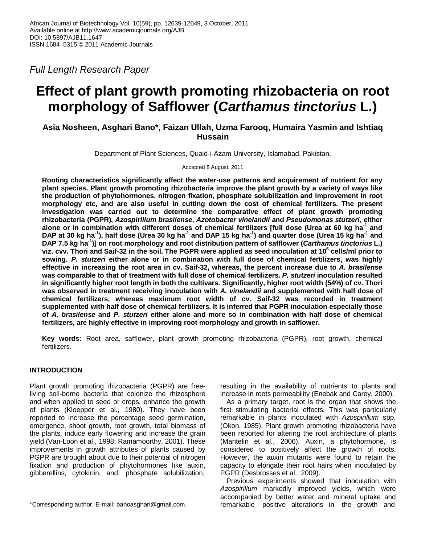Full Length Research Paper

# **Effect of plant growth promoting rhizobacteria on root morphology of Safflower (Carthamus tinctorius L.)**

## **Asia Nosheen, Asghari Bano\*, Faizan Ullah, Uzma Farooq, Humaira Yasmin and Ishtiaq Hussain**

Department of Plant Sciences, Quaid-i-Azam University, Islamabad, Pakistan.

Accepted 8 August, 2011

**Rooting characteristics significantly affect the water-use patterns and acquirement of nutrient for any plant species. Plant growth promoting rhizobacteria improve the plant growth by a variety of ways like the production of phytohormones, nitrogen fixation, phosphate solubilization and improvement in root morphology etc, and are also useful in cutting down the cost of chemical fertilizers. The present investigation was carried out to determine the comparative effect of plant growth promoting rhizobacteria (PGPR), Azospirillum brasilense, Azotobacter vinelandii and Pseudomonas stutzeri, either alone or in combination with different doses of chemical fertilizers [full dose (Urea at 60 kg ha-1 and DAP at 30 kg ha-1), half dose (Urea 30 kg ha-1 and DAP 15 kg ha-1) and quarter dose (Urea 15 kg ha-1 and DAP 7.5 kg ha-1)] on root morphology and root distribution pattern of safflower (Carthamus tinctorius L.) viz. cvv. Thori and Saif-32 in the soil. The PGPR were applied as seed inoculation at 10<sup>6</sup> cells/ml prior to sowing. P. stutzeri either alone or in combination with full dose of chemical fertilizers, was highly effective in increasing the root area in cv. Saif-32, whereas, the percent increase due to A. brasilense was comparable to that of treatment with full dose of chemical fertilizers. P. stutzeri inoculation resulted in significantly higher root length in both the cultivars. Significantly, higher root width (54%) of cv. Thori was observed in treatment receiving inoculation with A. vinelandii and supplemented with half dose of chemical fertilizers, whereas maximum root width of cv. Saif-32 was recorded in treatment supplemented with half dose of chemical fertilizers. It is inferred that PGPR inoculation especially those of A. brasilense and P. stutzeri either alone and more so in combination with half dose of chemical fertilizers, are highly effective in improving root morphology and growth in safflower.** 

**Key words:** Root area, safflower, plant growth promoting rhizobacteria (PGPR), root growth, chemical fertilizers.

## **INTRODUCTION**

Plant growth promoting rhizobacteria (PGPR) are freeliving soil-borne bacteria that colonize the rhizosphere and when applied to seed or crops, enhance the growth of plants (Kloepper et al., 1980). They have been reported to increase the percentage seed germination, emergence, shoot growth, root growth, total biomass of the plants, induce early flowering and increase the grain yield (Van-Loon et al., 1998; Ramamoorthy, 2001). These improvements in growth attributes of plants caused by PGPR are brought about due to their potential of nitrogen fixation and production of phytohormones like auxin, gibberellins, cytokinin, and phosphate solubilization,

resulting in the availability of nutrients to plants and increase in roots permeability (Enebak and Carey, 2000).

As a primary target, root is the organ that shows the first stimulating bacterial effects. This was particularly remarkable in plants inoculated with Azospirillum spp. (Okon, 1985). Plant growth promoting rhizobacteria have been reported for altering the root architecture of plants (Mantelin et al., 2006). Auxin, a phytohormone, is considered to positively affect the growth of roots. However, the auxin mutants were found to retain the capacity to elongate their root hairs when inoculated by PGPR (Desbrosses et al., 2009).

Previous experiments showed that inoculation with Azospirillum markedly improved yields, which were accompanied by better water and mineral uptake and remarkable positive alterations in the growth and

<sup>\*</sup>Corresponding author. E-mail: banoasghari@gmail.com.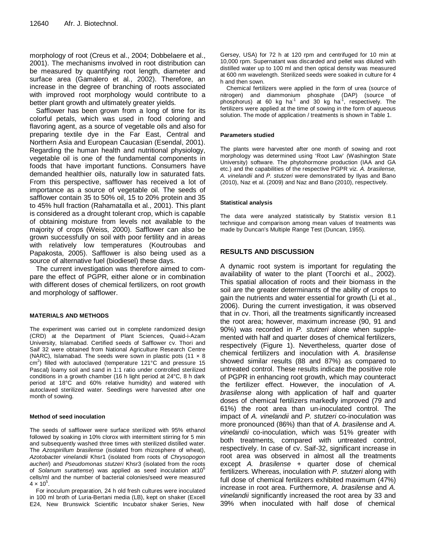morphology of root (Creus et al., 2004; Dobbelaere et al., 2001). The mechanisms involved in root distribution can be measured by quantifying root length, diameter and surface area (Gamalero et al., 2002). Therefore, an increase in the degree of branching of roots associated with improved root morphology would contribute to a better plant growth and ultimately greater yields.

Safflower has been grown from a long of time for its colorful petals, which was used in food coloring and flavoring agent, as a source of vegetable oils and also for preparing textile dye in the Far East, Central and Northern Asia and European Caucasian (Esendal, 2001). Regarding the human health and nutritional physiology, vegetable oil is one of the fundamental components in foods that have important functions. Consumers have demanded healthier oils, naturally low in saturated fats. From this perspective, safflower has received a lot of importance as a source of vegetable oil. The seeds of safflower contain 35 to 50% oil, 15 to 20% protein and 35 to 45% hull fraction (Rahamatalla et al., 2001). This plant is considered as a drought tolerant crop, which is capable of obtaining moisture from levels not available to the majority of crops (Weiss, 2000). Safflower can also be grown successfully on soil with poor fertility and in areas with relatively low temperatures (Koutroubas and Papakosta, 2005). Safflower is also being used as a source of alternative fuel (biodiesel) these days.

The current investigation was therefore aimed to compare the effect of PGPR, either alone or in combination with different doses of chemical fertilizers, on root growth and morphology of safflower.

#### **MATERIALS AND METHODS**

The experiment was carried out in complete randomized design (CRD) at the Department of Plant Sciences, Quaid-i-Azam University, Islamabad. Certified seeds of Safflower cv. Thori and Saif 32 were obtained from National Agriculture Research Centre (NARC), Islamabad. The seeds were sown in plastic pots  $(11 \times 8)$  $\text{cm}^2$ ) filled with autoclaved (temperature 121°C and pressure 15 Pascal) loamy soil and sand in 1:1 ratio under controlled sterilized conditions in a growth chamber (16 h light period at 24°C, 8 h dark period at 18°C and 60% relative humidity) and watered with autoclaved sterilized water. Seedlings were harvested after one month of sowing.

#### **Method of seed inoculation**

The seeds of safflower were surface sterilized with 95% ethanol followed by soaking in 10% clorox with intermittent stirring for 5 min and subsequently washed three times with sterilized distilled water. The Azospirillum brasilense (isolated from rhizosphere of wheat), Azotobacter vinelandii Khsr1 (isolated from roots of Chrysopogon aucheri) and Pseudomonas stutzeri Khsr3 (isolated from the roots of Solanum surattense) was applied as seed inoculation at  $10^6$ cells/ml and the number of bacterial colonies/seed were measured  $4 \times 10^{5}$ .

For inoculum preparation, 24 h old fresh cultures were inoculated in 100 ml broth of Luria-Bertani media (LB), kept on shaker (Excell E24, New Brunswick Scientific Incubator shaker Series, New

Gersey, USA) for 72 h at 120 rpm and centrifuged for 10 min at 10,000 rpm. Supernatant was discarded and pellet was diluted with distilled water up to 100 ml and then optical density was measured at 600 nm wavelength. Sterilized seeds were soaked in culture for 4 h and then sown.

Chemical fertilizers were applied in the form of urea (source of nitrogen) and diammonium phosphate (DAP) (source of phosphorus) at 60 kg ha<sup>-1</sup> and 30 kg ha<sup>-1</sup>, respectively. The fertilizers were applied at the time of sowing in the form of aqueous solution. The mode of application / treatments is shown in Table 1.

#### **Parameters studied**

The plants were harvested after one month of sowing and root morphology was determined using 'Root Law' (Washington State University) software. The phytohormone production (IAA and GA etc.) and the capabilities of the respective PGPR viz. A. brasilense, A. vinelandii and P. stutzeri were demonstrated by Ilyas and Bano (2010), Naz et al. (2009) and Naz and Bano (2010), respectively.

#### **Statistical analysis**

The data were analyzed statistically by Statistix version 8.1 technique and comparison among mean values of treatments was made by Duncan's Multiple Range Test (Duncan, 1955).

### **RESULTS AND DISCUSSION**

A dynamic root system is important for regulating the availability of water to the plant (Toorchi et al., 2002). This spatial allocation of roots and their biomass in the soil are the greater determinants of the ability of crops to gain the nutrients and water essential for growth (Li et al., 2006). During the current investigation, it was observed that in cv. Thori, all the treatments significantly increased the root area; however, maximum increase (90, 91 and 90%) was recorded in P. stutzeri alone when supplemented with half and quarter doses of chemical fertilizers, respectively (Figure 1). Nevertheless, quarter dose of chemical fertilizers and inoculation with A. brasilense showed similar results (88 and 87%) as compared to untreated control. These results indicate the positive role of PGPR in enhancing root growth, which may counteract the fertilizer effect. However, the inoculation of A. brasilense along with application of half and quarter doses of chemical fertilizers markedly improved (79 and 61%) the root area than un-inoculated control. The impact of A. vinelandii and P. stutzeri co-inoculation was more pronounced (86%) than that of A. brasilense and A. vinelandii co-inoculation, which was 51% greater with both treatments, compared with untreated control, respectively. In case of cv. Saif-32, significant increase in root area was observed in almost all the treatments except A. brasilense + quarter dose of chemical fertilizers. Whereas, inoculation with P. stutzeri along with full dose of chemical fertilizers exhibited maximum (47%) increase in root area. Furthermore, A. brasilense and A. vinelandii significantly increased the root area by 33 and 39% when inoculated with half dose of chemical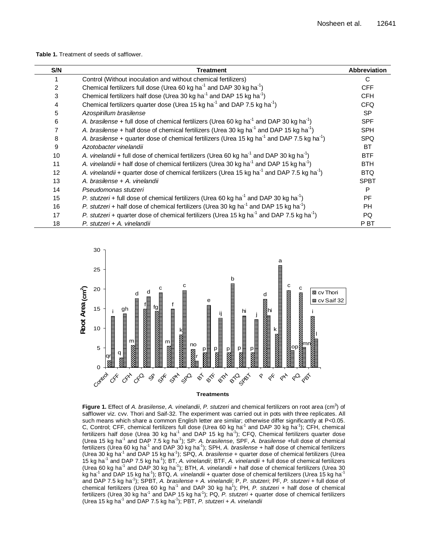**Table 1.** Treatment of seeds of safflower.

| S/N | <b>Treatment</b>                                                                                                    | <b>Abbreviation</b> |
|-----|---------------------------------------------------------------------------------------------------------------------|---------------------|
|     | Control (Without inoculation and without chemical fertilizers)                                                      | C                   |
| 2   | Chemical fertilizers full dose (Urea 60 kg ha <sup>-1</sup> and DAP 30 kg ha <sup>-1</sup> )                        | <b>CFF</b>          |
| 3   | Chemical fertilizers half dose (Urea 30 kg ha <sup>-1</sup> and DAP 15 kg ha <sup>-1</sup> )                        | <b>CFH</b>          |
| 4   | Chemical fertilizers quarter dose (Urea 15 kg ha <sup>-1</sup> and DAP 7.5 kg ha <sup>-1</sup> )                    | <b>CFQ</b>          |
| 5   | Azospirillum brasilense                                                                                             | <b>SP</b>           |
| 6   | A. brasilense + full dose of chemical fertilizers (Urea 60 kg ha <sup>-1</sup> and DAP 30 kg ha <sup>-1</sup> )     | <b>SPF</b>          |
| 7   | A. brasilense + half dose of chemical fertilizers (Urea 30 kg ha <sup>-1</sup> and DAP 15 kg ha <sup>-1</sup> )     | <b>SPH</b>          |
| 8   | A. brasilense + quarter dose of chemical fertilizers (Urea 15 kg ha <sup>-1</sup> and DAP 7.5 kg ha <sup>-1</sup> ) | <b>SPQ</b>          |
| 9   | Azotobacter vinelandii                                                                                              | <b>BT</b>           |
| 10  | A. vinelandii + full dose of chemical fertilizers (Urea 60 kg ha <sup>-1</sup> and DAP 30 kg ha <sup>-1</sup> )     | <b>BTF</b>          |
| 11  | A. vinelandii + half dose of chemical fertilizers (Urea 30 kg ha <sup>-1</sup> and DAP 15 kg ha <sup>-1</sup> )     | <b>BTH</b>          |
| 12  | A. vinelandii + quarter dose of chemical fertilizers (Urea 15 kg ha <sup>-1</sup> and DAP 7.5 kg ha <sup>-1</sup> ) | <b>BTQ</b>          |
| 13  | A. brasilense + A. vinelandii                                                                                       | <b>SPBT</b>         |
| 14  | Pseudomonas stutzeri                                                                                                | P                   |
| 15  | P. stutzeri + full dose of chemical fertilizers (Urea 60 kg ha <sup>-1</sup> and DAP 30 kg ha <sup>-1</sup> )       | <b>PF</b>           |
| 16  | P. stutzeri + half dose of chemical fertilizers (Urea 30 kg ha <sup>-1</sup> and DAP 15 kg ha <sup>-1</sup> )       | <b>PH</b>           |
| 17  | P. stutzeri + quarter dose of chemical fertilizers (Urea 15 kg ha <sup>-1</sup> and DAP 7.5 kg ha <sup>-1</sup> )   | PQ.                 |
| 18  | P. stutzeri + A. vinelandii                                                                                         | P BT                |



Figure 1. Effect of A. brasilense, A. vinelandii, P. stutzeri and chemical fertilizers on root area (cm<sup>3</sup>) of safflower viz. cvv. Thori and Saif-32. The experiment was carried out in pots with three replicates. All such means which share a common English letter are similar; otherwise differ significantly at P<0.05. C, Control; CFF, chemical fertilizers full dose (Urea 60 kg ha<sup>-1</sup> and DAP 30 kg ha<sup>-1</sup>); CFH, chemical fertilizers half dose (Urea 30 kg ha<sup>-1</sup> and DAP 15 kg ha<sup>-1</sup>); CFQ, Chemical fertilizers quarter dose (Urea 15 kg ha<sup>-1</sup> and DAP 7.5 kg ha<sup>-1</sup>); SP: A. brasilense, SPF, A. brasilense +full dose of chemical fertilizers (Urea 60 kg ha<sup>-1</sup> and DAP 30 kg ha<sup>-1</sup>); SPH, A. brasilense + half dose of chemical fertilizers (Urea 30 kg ha<sup>-1</sup> and DAP 15 kg ha<sup>-1</sup>); SPQ, A. brasilense + quarter dose of chemical fertilizers (Urea 15 kg ha<sup>-1</sup> and DAP 7.5 kg ha<sup>-1</sup>); BT, A. vinelandii; BTF, A. vinelandii + full dose of chemical fertilizers (Urea 60 kg ha<sup>-1</sup> and DAP 30 kg ha<sup>-1</sup>); BTH, A. vinelandii + half dose of chemical fertilizers (Urea 30 kg ha<sup>-1</sup> and DAP 15 kg ha<sup>-1</sup>); BTQ, A. vinelandii + quarter dose of chemical fertilizers (Urea 15 kg ha<sup>-1</sup> and DAP 7.5 kg ha<sup>-1</sup>); SPBT, A. brasilense + A. vinelandii; P, P. stutzeri; PF, P. stutzeri + full dose of chemical fertilizers (Urea 60 kg ha<sup>-1</sup> and DAP 30 kg ha<sup>1</sup>); PH, P. stutzeri + half dose of chemical fertilizers (Urea 30 kg ha<sup>-1</sup> and DAP 15 kg ha<sup>-1</sup>); PQ, P. stutzeri + quarter dose of chemical fertilizers (Urea 15 kg ha<sup>-1</sup> and DAP 7.5 kg ha<sup>-1</sup>); PBT, P. stutzeri + A. vinelandii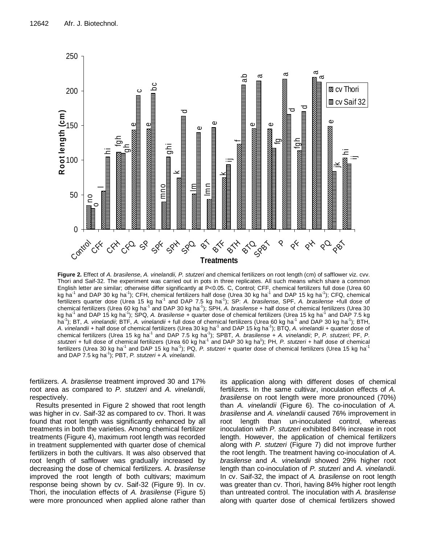

**Figure 2.** Effect of A. brasilense, A. vinelandii, P. stutzeri and chemical fertilizers on root length (cm) of safflower viz. cvv. Thori and Saif-32. The experiment was carried out in pots in three replicates. All such means which share a common English letter are similar; otherwise differ significantly at P<0.05. C, Control; CFF, chemical fertilizers full dose (Urea 60 kg ha<sup>-1</sup> and DAP 30 kg ha<sup>-1</sup>); CFH, chemical fertilizers half dose (Urea 30 kg ha<sup>-1</sup> and DAP 15 kg ha<sup>-1</sup>); CFQ, chemical fertilizers quarter dose (Urea 15 kg ha<sup>-1</sup> and DAP 7.5 kg ha<sup>-1</sup>); SP: A. brasilense, SPF, A. brasilense +full dose of chemical fertilizers (Urea 60 kg ha<sup>-1</sup> and DAP 30 kg ha<sup>-1</sup>); SPH, A. brasilense + half dose of chemical fertilizers (Urea 30 kg ha<sup>-1</sup> and DAP 15 kg ha<sup>-1</sup>); SPQ, A. brasilense + quarter dose of chemical fertilizers (Urea 15 kg ha<sup>-1</sup> and DAP 7.5 kg ha<sup>-1</sup>); BT, *A. vinelandii*; BTF, *A. vinelandii* + full dose of chemical fertilizers (Urea 60 kg ha<sup>-1</sup> and DAP 30 kg ha<sup>-1</sup>); BTH, A. vinelandii + half dose of chemical fertilizers (Urea 30 kg ha<sup>-1</sup> and DAP 15 kg ha<sup>-1</sup>); BTQ, A. vinelandii + quarter dose of chemical fertilizers (Urea 15 kg ha<sup>-1</sup> and DAP 7.5 kg ha<sup>-1</sup>); SPBT, A. brasilense + A. vinelandii; P, P. stutzeri; PF, P. stutzeri + full dose of chemical fertilizers (Urea 60 kg ha<sup>-1</sup> and DAP 30 kg ha<sup>1</sup>); PH, P. stutzeri + half dose of chemical fertilizers (Urea 30 kg ha $^1$  and DAP 15 kg ha $^1$ ); PQ, *P. stutzeri* + quarter dose of chemical fertilizers (Urea 15 kg ha $^1$ and DAP  $7.5$  kg ha<sup>-1</sup>); PBT, P. stutzeri + A. vinelandii.

fertilizers. A. brasilense treatment improved 30 and 17% root area as compared to P. stutzeri and A. vinelandii, respectively.

Results presented in Figure 2 showed that root length was higher in cv. Saif-32 as compared to cv. Thori. It was found that root length was significantly enhanced by all treatments in both the varieties. Among chemical fertilizer treatments (Figure 4), maximum root length was recorded in treatment supplemented with quarter dose of chemical fertilizers in both the cultivars. It was also observed that root length of safflower was gradually increased by decreasing the dose of chemical fertilizers. A. brasilense improved the root length of both cultivars; maximum response being shown by cv. Saif-32 (Figure 9). In cv. Thori, the inoculation effects of A. brasilense (Figure 5) were more pronounced when applied alone rather than

its application along with different doses of chemical fertilizers. In the same cultivar, inoculation effects of A. brasilense on root length were more pronounced (70%) than A. vinelandii (Figure 6). The co-inoculation of A. brasilense and A. vinelandii caused 76% improvement in root length than un-inoculated control, whereas inoculation with P. stutzeri exhibited 84% increase in root length. However, the application of chemical fertilizers along with P. stutzeri (Figure 7) did not improve further the root length. The treatment having co-inoculation of A. brasilense and A. vinelandii showed 29% higher root length than co-inoculation of P. stutzeri and A. vinelandii. In cv. Saif-32, the impact of A. brasilense on root length was greater than cv. Thori, having 84% higher root length than untreated control. The inoculation with A. brasilense along with quarter dose of chemical fertilizers showed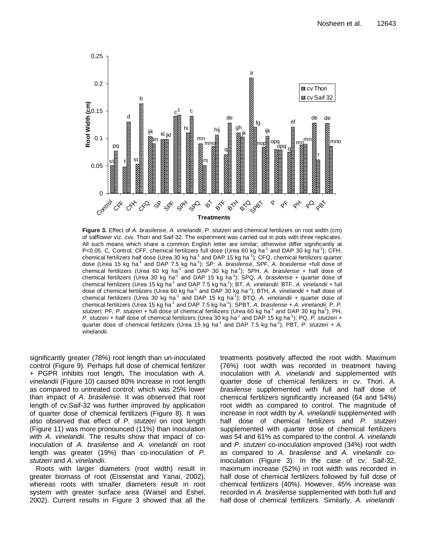

Figure 3. Effect of A. brasilense, A. vinelandii, P. stutzeri and chemical fertilizers on root width (cm) of safflower viz. cvv. Thori and Saif-32. The experiment was carried out in pots with three replicates. All such means which share a common English letter are similar; otherwise differ significantly at P<0.05. C, Control; CFF, chemical fertilizers full dose (Urea 60 kg ha<sup>-1</sup> and DAP 30 kg ha<sup>-1</sup>); CFH, chemical fertilizers half dose (Urea 30 kg ha $^1$  and DAP 15 kg ha $^1$ ); CFQ, chemical fertilizers quarter dose (Urea 15 kg ha<sup>-1</sup> and DAP 7.5 kg ha<sup>-1</sup>); SP: A. brasilense, SPF, A. brasilense +full dose of chemical fertilizers (Urea 60 kg ha<sup>-1</sup> and DAP 30 kg ha<sup>-1</sup>); SPH, A. brasilense + half dose of chemical fertilizers (Urea 30 kg ha<sup>-1</sup> and DAP 15 kg ha<sup>-1</sup>); SPQ, A. brasilense + quarter dose of chemical fertilizers (Urea 15 kg ha<sup>-1</sup> and DAP 7.5 kg ha<sup>-1</sup>); BT, A. vinelandii; BTF, A. vinelandii + full dose of chemical fertilizers (Urea 60 kg ha<sup>-1</sup> and DAP 30 kg ha<sup>-1</sup>); BTH, A. vinelandii + half dose of chemical fertilizers (Urea 30 kg ha<sup>-1</sup> and DAP 15 kg ha<sup>-1</sup>); BTQ, A. vinelandii + quarter dose of chemical fertilizers (Urea 15 kg ha<sup>-1</sup> and DAP 7.5 kg ha<sup>-1</sup>); SPBT, A. brasilense + A. vinelandii; P, P. stutzeri; PF, P. stutzeri + full dose of chemical fertilizers (Urea 60 kg ha<sup>-1</sup> and DAP 30 kg ha<sup>1</sup>); PH, P. stutzeri + half dose of chemical fertilizers (Urea 30 kg ha<sup>-1</sup> and DAP 15 kg ha<sup>-1</sup>); PQ, P. stutzeri + quarter dose of chemical fertilizers (Urea 15 kg ha<sup>-1</sup> and DAP 7.5 kg ha<sup>-1</sup>); PBT, P. stutzeri + A. vinelandii.

significantly greater (78%) root length than un-inoculated control (Figure 9). Perhaps full dose of chemical fertilizer + PGPR inhibits root length**.** The inoculation with A. vinelandii (Figure 10) caused 80% increase in root length as compared to untreated control; which was 25% lower than impact of A. brasilense. It was observed that root length of cv.Saif-32 was further improved by application of quarter dose of chemical fertilizers (Figure 8). It was also observed that effect of P. stutzeri on root length (Figure 11) was more pronounced (11%) than inoculation with A. vinelandii. The results show that impact of coinoculation of A. brasilense and A. vinelandii on root length was greater (19%) than co-inoculation of P. stutzeri and A. vinelandii.

Roots with larger diameters (root width) result in greater biomass of root (Eissenstat and Yanai, 2002), whereas roots with smaller diameters result in root system with greater surface area (Waisel and Eshel, 2002). Current results in Figure 3 showed that all the

treatments positively affected the root width. Maximum (76%) root width was recorded in treatment having inoculation with A. vinelandii and supplemented with quarter dose of chemical fertilizers in cv. Thori. A. brasilense supplemented with full and half dose of chemical fertilizers significantly increased (64 and 54%) root width as compared to control. The magnitude of increase in root width by A. vinelandii supplemented with half dose of chemical fertilizers and P. stutzeri supplemented with quarter dose of chemical fertilizers was 54 and 61% as compared to the control. A. vinelandii and P. stutzeri co-inoculation improved (34%) root width as compared to A. brasilense and A. vinelandii coinoculation (Figure 3). In the case of cv. Saif-32, maximum increase (52%) in root width was recorded in half dose of chemical fertilizers followed by full dose of chemical fertilizers (40%). However, 45% increase was recorded in A. brasilense supplemented with both full and half dose of chemical fertilizers. Similarly, A. vinelandii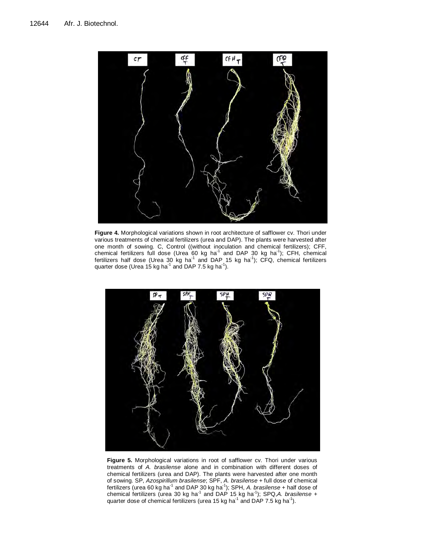

**Figure 4.** Morphological variations shown in root architecture of safflower cv. Thori under various treatments of chemical fertilizers (urea and DAP). The plants were harvested after one month of sowing. C, Control ((without inoculation and chemical fertilizers); CFF, chemical fertilizers full dose (Urea 60 kg ha<sup>-1</sup> and DAP 30 kg ha<sup>-1</sup>); CFH, chemical fertilizers half dose (Urea 30 kg ha<sup>-1</sup> and DAP 15 kg ha<sup>-1</sup>); CFQ, chemical fertilizers quarter dose (Urea 15 kg ha $^{-1}$  and DAP 7.5 kg ha $^{-1}$ ).



**Figure 5.** Morphological variations in root of safflower cv. Thori under various treatments of A. brasilense alone and in combination with different doses of chemical fertilizers (urea and DAP). The plants were harvested after one month of sowing. SP, Azospirillum brasilense; SPF, A. brasilense + full dose of chemical fertilizers (urea 60 kg ha<sup>-1</sup> and DAP 30 kg ha<sup>-1</sup>); SPH, A. brasilense + half dose of chemical fertilizers (urea 30 kg ha<sup>-1</sup> and DAP 15 kg ha<sup>-1</sup>); SPQ,A. brasilense + quarter dose of chemical fertilizers (urea 15 kg ha<sup>-1</sup> and DAP 7.5 kg ha<sup>-1</sup>).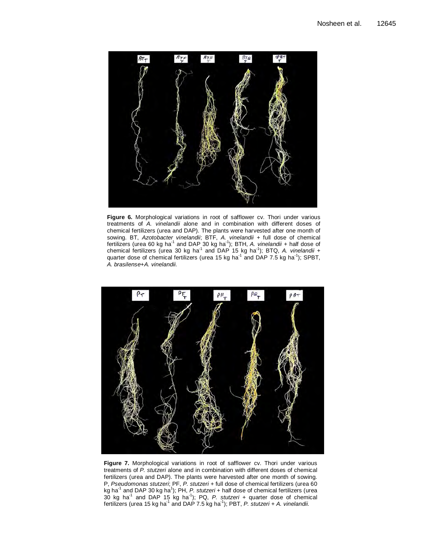

**Figure 6.** Morphological variations in root of safflower cv. Thori under various treatments of A. vinelandii alone and in combination with different doses of chemical fertilizers (urea and DAP). The plants were harvested after one month of sowing. BT, Azotobacter vinelandii; BTF, A. vinelandii + full dose of chemical fertilizers (urea 60 kg ha<sup>-1</sup> and DAP 30 kg ha<sup>-1</sup>); BTH, A. vinelandii + half dose of chemical fertilizers (urea 30 kg ha<sup>-1</sup> and DAP 15 kg ha<sup>-1</sup>); BTQ, A. vinelandii + quarter dose of chemical fertilizers (urea 15 kg ha<sup>-1</sup> and DAP 7.5 kg ha<sup>-1</sup>); SPBT, A. brasilense+A. vinelandii.



Figure 7. Morphological variations in root of safflower cv. Thori under various treatments of P. stutzeri alone and in combination with different doses of chemical fertilizers (urea and DAP). The plants were harvested after one month of sowing. P, Pseudomonas stutzeri; PF, P. stutzeri + full dose of chemical fertilizers (urea 60 kg ha<sup>-1</sup> and DAP 30 kg ha<sup>1</sup>); PH, P. stutzeri + half dose of chemical fertilizers (urea 30 kg ha<sup>-1</sup> and DAP 15 kg ha<sup>-1</sup>); PQ, P. stutzeri + quarter dose of chemical fertilizers (urea 15 kg ha<sup>-1</sup> and DAP 7.5 kg ha<sup>-1</sup>); PBT, P. stutzeri + A. vinelandii.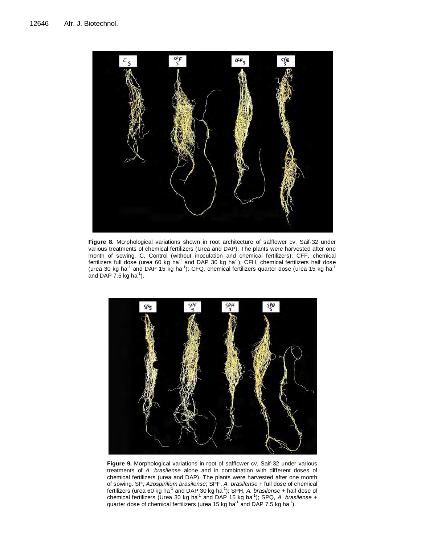

**Figure 8.** Morphological variations shown in root architecture of safflower cv. Saif-32 under various treatments of chemical fertilizers (Urea and DAP). The plants were harvested after one month of sowing. C, Control (without inoculation and chemical fertilizers); CFF, chemical fertilizers full dose (urea 60 kg ha<sup>-1</sup> and DAP 30 kg ha<sup>-1</sup>); CFH, chemical fertilizers half dose (urea 30 kg ha<sup>-1</sup> and DAP 15 kg ha<sup>-1</sup>); CFQ, chemical fertilizers quarter dose (urea 15 kg ha<sup>-1</sup> and DAP 7.5 kg ha $^{-1}$ ).



**Figure 9.** Morphological variations in root of safflower cv. Saif-32 under various treatments of A. brasilense alone and in combination with different doses of chemical fertilizers (urea and DAP). The plants were harvested after one month of sowing. SP, Azospirillum brasilense; SPF, A. brasilense + full dose of chemical fertilizers (urea 60 kg ha<sup>-1</sup> and DAP 30 kg ha<sup>-1</sup>); SPH, A. brasilense + half dose of chemical fertilizers (Urea 30 kg ha<sup>-1</sup> and DAP 15 kg ha<sup>-1</sup>); SPQ, A. brasilense + quarter dose of chemical fertilizers (urea 15 kg ha<sup>-1</sup> and DAP 7.5 kg ha<sup>-1</sup>).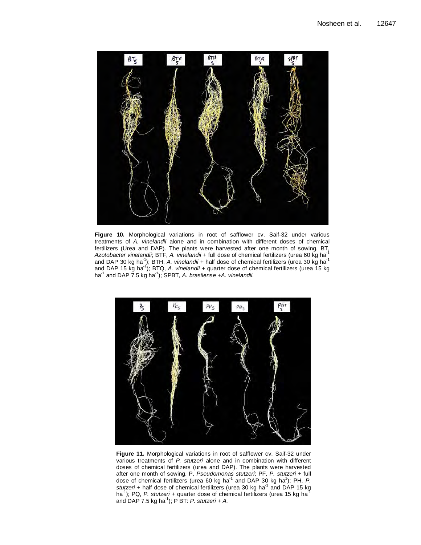

**Figure 10.** Morphological variations in root of safflower cv. Saif-32 under various treatments of A. vinelandii alone and in combination with different doses of chemical fertilizers (Urea and DAP). The plants were harvested after one month of sowing. BT, Azotobacter vinelandii; BTF, A. vinelandii + full dose of chemical fertilizers (urea 60 kg ha<sup>-1</sup> and DAP 30 kg ha<sup>-1</sup>); BTH, A. vinelandii + half dose of chemical fertilizers (urea 30 kg ha<sup>-1</sup> and DAP 15 kg ha<sup>-1</sup>); BTQ, A. vinelandii + quarter dose of chemical fertilizers (urea 15 kg ha $^{-1}$  and DAP 7.5 kg ha $^{-1}$ ); SPBT, A. brasilense +A. vinelandii.



**Figure 11.** Morphological variations in root of safflower cv. Saif-32 under various treatments of P. stutzeri alone and in combination with different doses of chemical fertilizers (urea and DAP). The plants were harvested after one month of sowing. P, Pseudomonas stutzeri; PF, P. stutzeri + full dose of chemical fertilizers (urea 60 kg ha<sup>-1</sup> and DAP 30 kg ha<sup>1</sup>); PH, P. stutzeri + half dose of chemical fertilizers (urea 30 kg ha<sup>-1</sup> and DAP 15 kg ha<sup>-1</sup>); PQ, *P. stutzeri* + quarter dose of chemical fertilizers (urea 15 kg ha<sup>-1</sup> and DAP 7.5 kg ha<sup>-1</sup>); P BT: P. stutzeri + A.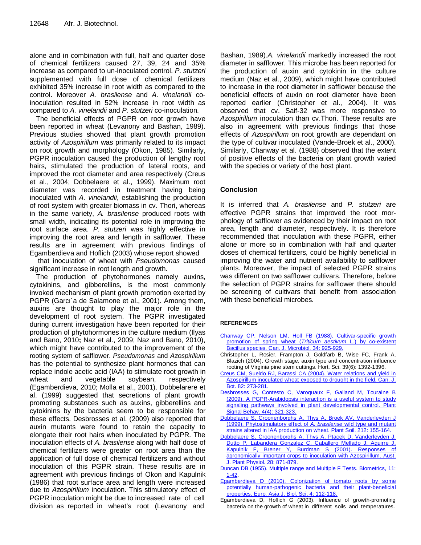alone and in combination with full, half and quarter dose of chemical fertilizers caused 27, 39, 24 and 35% increase as compared to un-inoculated control. P. stutzeri supplemented with full dose of chemical fertilizers exhibited 35% increase in root width as compared to the control. Moreover A. brasilense and A. vinelandii coinoculation resulted in 52% increase in root width as compared to A. vinelandii and P. stutzeri co-inoculation.

The beneficial effects of PGPR on root growth have been reported in wheat (Levanony and Bashan, 1989). Previous studies showed that plant growth promotion activity of Azospirillum was primarily related to its impact on root growth and morphology (Okon, 1985). Similarly, PGPR inoculation caused the production of lengthy root hairs, stimulated the production of lateral roots, and improved the root diameter and area respectively (Creus et al., 2004; Dobbelaere et al., 1999). Maximum root diameter was recorded in treatment having being inoculated with A. vinelandii, establishing the production of root system with greater biomass in cv. Thori, whereas in the same variety, A. brasilense produced roots with small width, indicating its potential role in improving the root surface area. P. stutzeri was highly effective in improving the root area and length in safflower. These results are in agreement with previous findings of Egamberdieva and Hoflich (2003) whose report showed

 that inoculation of wheat with Pseudomonas caused significant increase in root length and growth.

The production of phytohormones namely auxins, cytokinins, and gibberellins, is the most commonly invoked mechanism of plant growth promotion exerted by PGPR (Garcı´a de Salamone et al., 2001). Among them, auxins are thought to play the major role in the development of root system. The PGPR investigated during current investigation have been reported for their production of phytohormones in the culture medium (Ilyas and Bano, 2010**;** Naz et al., 2009; Naz and Bano, 2010), which might have contributed to the improvement of the rooting system of safflower. Pseudomonas and Azospirillum has the potential to synthesize plant hormones that can replace indole acetic acid (IAA) to stimulate root growth in wheat and vegetable soybean, respectively (Egamberdieva, 2010; Molla et al., 2001). Dobbelarere et al. (1999) suggested that secretions of plant growth promoting substances such as auxins, gibberellins and cytokinins by the bacteria seem to be responsible for these effects. Desbrosses et al. (2009) also reported that auxin mutants were found to retain the capacity to elongate their root hairs when inoculated by PGPR. The inoculation effects of A. brasilense along with half dose of chemical fertilizers were greater on root area than the application of full dose of chemical fertilizers and without inoculation of this PGPR strain. These results are in agreement with previous findings of Okon and Kapulnik (1986) that root surface area and length were increased due to Azospirillum inoculation. This stimulatory effect of PGPR inoculation might be due to increased rate of cell division as reported in wheat's root (Levanony and

Bashan, 1989).A. vinelandii markedly increased the root diameter in safflower. This microbe has been reported for the production of auxin and cytokinin in the culture medium (Naz et al., 2009), which might have contributed to increase in the root diameter in safflower because the beneficial effects of auxin on root diameter have been reported earlier (Christopher et al., 2004). It was observed that cv. Saif-32 was more responsive to Azospirillum inoculation than cv.Thori. These results are also in agreement with previous findings that those effects of Azospirillum on root growth are dependant on the type of cultivar inoculated (Vande-Broek et al., 2000). Similarly, Chanway et al. (1988) observed that the extent of positive effects of the bacteria on plant growth varied with the species or variety of the host plant.

## **Conclusion**

It is inferred that A. brasilense and P. stutzeri are effective PGPR strains that improved the root morphology of safflower as evidenced by their impact on root area, length and diameter, respectively. It is therefore recommended that inoculation with these PGPR, either alone or more so in combination with half and quarter doses of chemical fertilizers, could be highly beneficial in improving the water and nutrient availability to safflower plants. Moreover, the impact of selected PGPR strains was different on two safflower cultivars. Therefore, before the selection of PGPR strains for safflower there should be screening of cultivars that benefit from association with these beneficial microbes.

#### **REFERENCES**

- Chanway CP, Nelson LM, Holl FB (1988). Cultivar-specific growth promotion of spring wheat (Triticum aestivum L.) by co-existent Bacillus species. Can. J. Microbiol. 34: 925-929.
- Christopher L, Rosier, Frampton J, Goldfarb B, Wise FC, Frank A, Blazich (2004). Growth stage, auxin type and concentration influence rooting of Virginia pine stem cuttings. Hort. Sci. 39(6): 1392-1396.
- Creus CM, Sueldo RJ, Barassi CA (2004). Water relations and yield in Azospirillum inoculated wheat exposed to drought in the field. Can. J. Bot. 82: 273-281.
- Desbrosses G, Contesto C, Varoquaux F, Galland M, Touraine B (2009). A PGPR-Arabidopsis interaction is a useful system to study signaling pathways involved in plant developmental control. Plant Signal Behav. 4(4): 321-323.
- Dobbelaere S, Croonenborghs A, Thys A, Broek AV, Vanderleyden J (1999). Phytostimulatory effect of A. brasilense wild type and mutant strains altered in IAA production on wheat. Plant Soil. 212: 155-164.
- Dobbelaere S, Croonenborghs A, Thys A, Ptacek D, Vanderleyden J, Dutto P, Labandera Gonzalez C, Caballero Mellado J, Aguirre J, Kapulnik F, Brener Y, Burdman S (2001). Responses of agronomically important crops to inoculation with Azospirillum. Aust. J. Plant Physiol. 28: 871-879.
- Duncan DB (1955). Multiple range and Multiple F Tests. Biometrics, 11: 1-42.
- Egamberdieva D (2010). Colonization of tomato roots by some potentially human-pathogenic bacteria and their plant-beneficial properties. Euro. Asia J. Biol. Sci. 4: 112-118.
- Egamberdieva D, Hoflich G (2003). Influence of growth-promoting bacteria on the growth of wheat in different soils and temperatures.